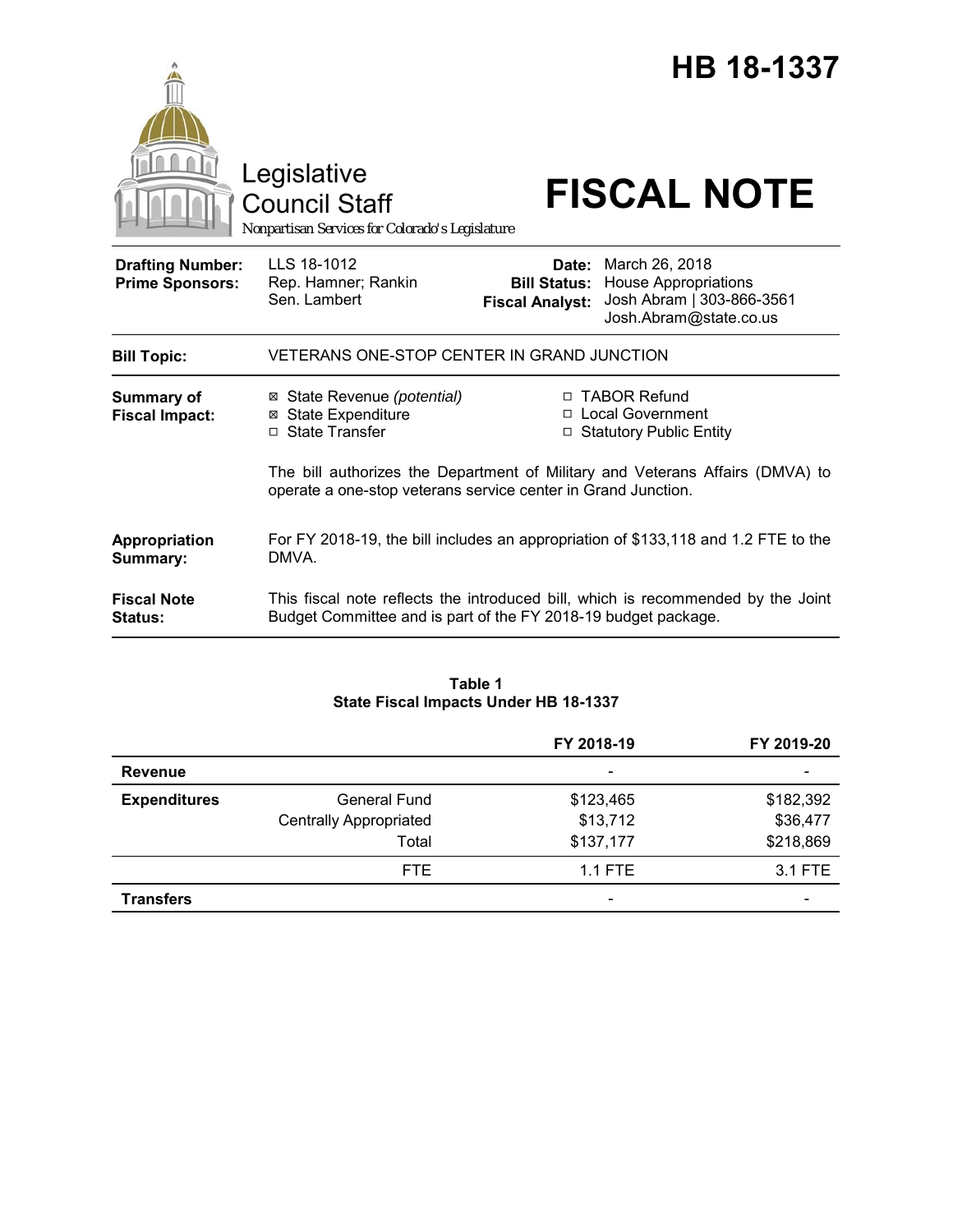|                                                   | Legislative<br><b>Council Staff</b><br>Nonpartisan Services for Colorado's Legislature                                                         | HB 18-1337<br><b>FISCAL NOTE</b>                                                                                                                            |  |
|---------------------------------------------------|------------------------------------------------------------------------------------------------------------------------------------------------|-------------------------------------------------------------------------------------------------------------------------------------------------------------|--|
| <b>Drafting Number:</b><br><b>Prime Sponsors:</b> | LLS 18-1012<br>Rep. Hamner; Rankin<br>Sen. Lambert                                                                                             | Date: March 26, 2018<br><b>House Appropriations</b><br><b>Bill Status:</b><br>Josh Abram   303-866-3561<br><b>Fiscal Analyst:</b><br>Josh.Abram@state.co.us |  |
| <b>Bill Topic:</b>                                | VETERANS ONE-STOP CENTER IN GRAND JUNCTION                                                                                                     |                                                                                                                                                             |  |
| <b>Summary of</b><br><b>Fiscal Impact:</b>        | ⊠ State Revenue (potential)<br><b>⊠</b> State Expenditure<br>□ State Transfer                                                                  | □ TABOR Refund<br>□ Local Government<br>□ Statutory Public Entity                                                                                           |  |
|                                                   | The bill authorizes the Department of Military and Veterans Affairs (DMVA) to<br>operate a one-stop veterans service center in Grand Junction. |                                                                                                                                                             |  |
| Appropriation<br>Summary:                         | For FY 2018-19, the bill includes an appropriation of \$133,118 and 1.2 FTE to the<br>DMVA.                                                    |                                                                                                                                                             |  |
| <b>Fiscal Note</b><br><b>Status:</b>              |                                                                                                                                                | This fiscal note reflects the introduced bill, which is recommended by the Joint<br>Budget Committee and is part of the FY 2018-19 budget package.          |  |

### **Table 1 State Fiscal Impacts Under HB 18-1337**

|                     |                               | FY 2018-19               | FY 2019-20 |
|---------------------|-------------------------------|--------------------------|------------|
| <b>Revenue</b>      |                               | $\overline{\phantom{0}}$ |            |
| <b>Expenditures</b> | <b>General Fund</b>           | \$123,465                | \$182,392  |
|                     | <b>Centrally Appropriated</b> | \$13,712                 | \$36,477   |
|                     | Total                         | \$137,177                | \$218,869  |
|                     | FTE.                          | $1.1$ FTE                | 3.1 FTE    |
| <b>Transfers</b>    |                               | $\overline{\phantom{0}}$ |            |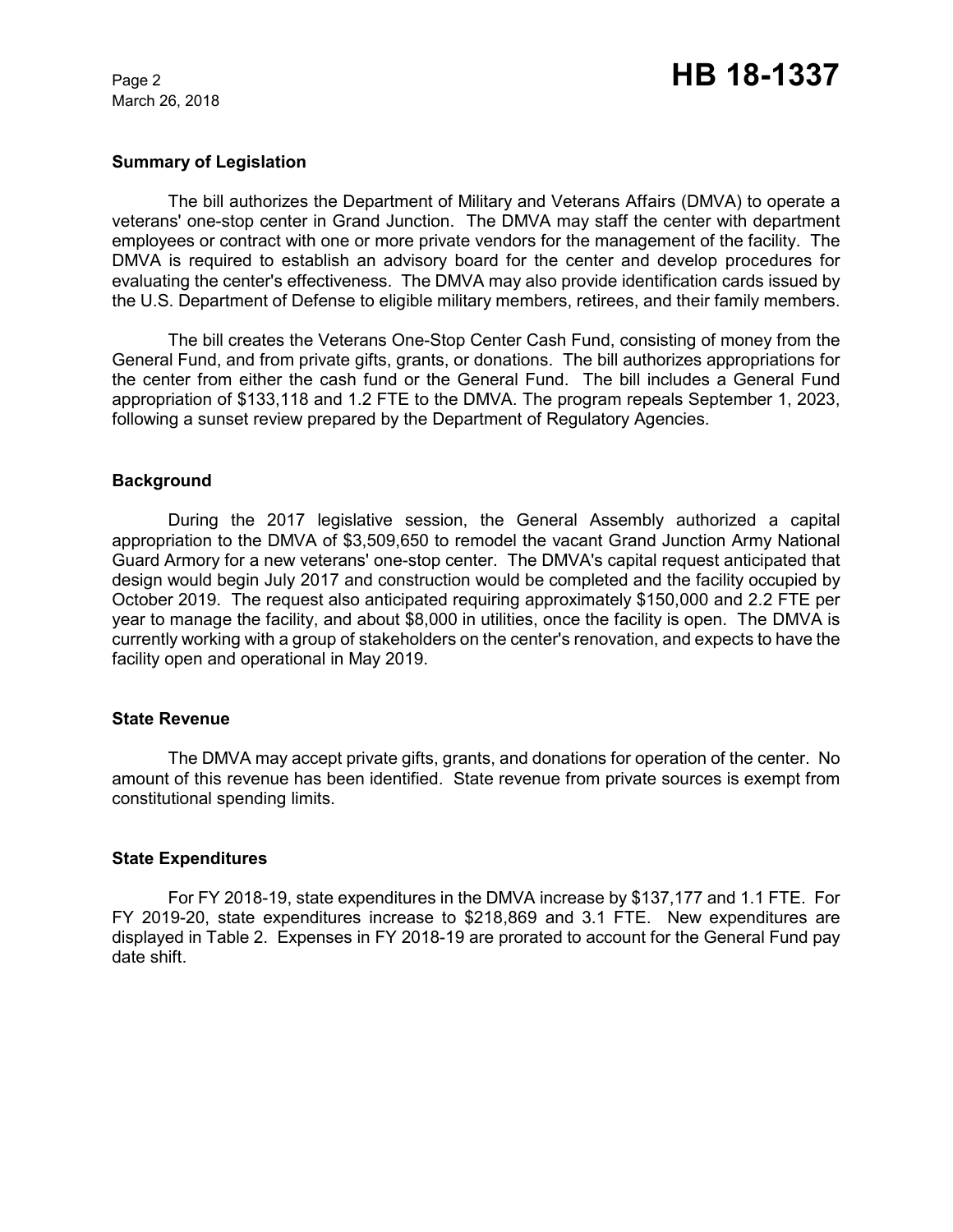March 26, 2018

### **Summary of Legislation**

The bill authorizes the Department of Military and Veterans Affairs (DMVA) to operate a veterans' one-stop center in Grand Junction. The DMVA may staff the center with department employees or contract with one or more private vendors for the management of the facility. The DMVA is required to establish an advisory board for the center and develop procedures for evaluating the center's effectiveness. The DMVA may also provide identification cards issued by the U.S. Department of Defense to eligible military members, retirees, and their family members.

The bill creates the Veterans One-Stop Center Cash Fund, consisting of money from the General Fund, and from private gifts, grants, or donations. The bill authorizes appropriations for the center from either the cash fund or the General Fund. The bill includes a General Fund appropriation of \$133,118 and 1.2 FTE to the DMVA. The program repeals September 1, 2023, following a sunset review prepared by the Department of Regulatory Agencies.

### **Background**

During the 2017 legislative session, the General Assembly authorized a capital appropriation to the DMVA of \$3,509,650 to remodel the vacant Grand Junction Army National Guard Armory for a new veterans' one-stop center. The DMVA's capital request anticipated that design would begin July 2017 and construction would be completed and the facility occupied by October 2019. The request also anticipated requiring approximately \$150,000 and 2.2 FTE per year to manage the facility, and about \$8,000 in utilities, once the facility is open. The DMVA is currently working with a group of stakeholders on the center's renovation, and expects to have the facility open and operational in May 2019.

### **State Revenue**

The DMVA may accept private gifts, grants, and donations for operation of the center. No amount of this revenue has been identified. State revenue from private sources is exempt from constitutional spending limits.

#### **State Expenditures**

For FY 2018-19, state expenditures in the DMVA increase by \$137,177 and 1.1 FTE. For FY 2019-20, state expenditures increase to \$218,869 and 3.1 FTE. New expenditures are displayed in Table 2. Expenses in FY 2018-19 are prorated to account for the General Fund pay date shift.